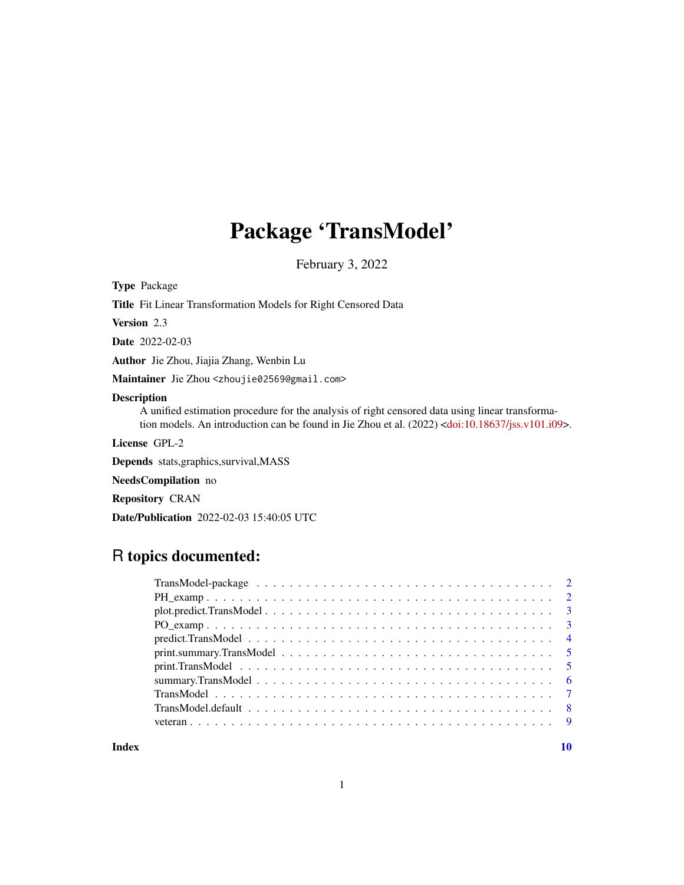## Package 'TransModel'

February 3, 2022

Type Package

Title Fit Linear Transformation Models for Right Censored Data

Version 2.3

Date 2022-02-03

Author Jie Zhou, Jiajia Zhang, Wenbin Lu

Maintainer Jie Zhou <zhoujie02569@gmail.com>

#### Description

A unified estimation procedure for the analysis of right censored data using linear transforma-tion models. An introduction can be found in Jie Zhou et al. (2022) [<doi:10.18637/jss.v101.i09>](https://doi.org/10.18637/jss.v101.i09).

License GPL-2

Depends stats,graphics,survival,MASS

NeedsCompilation no

Repository CRAN

Date/Publication 2022-02-03 15:40:05 UTC

### R topics documented:

 $\blacksquare$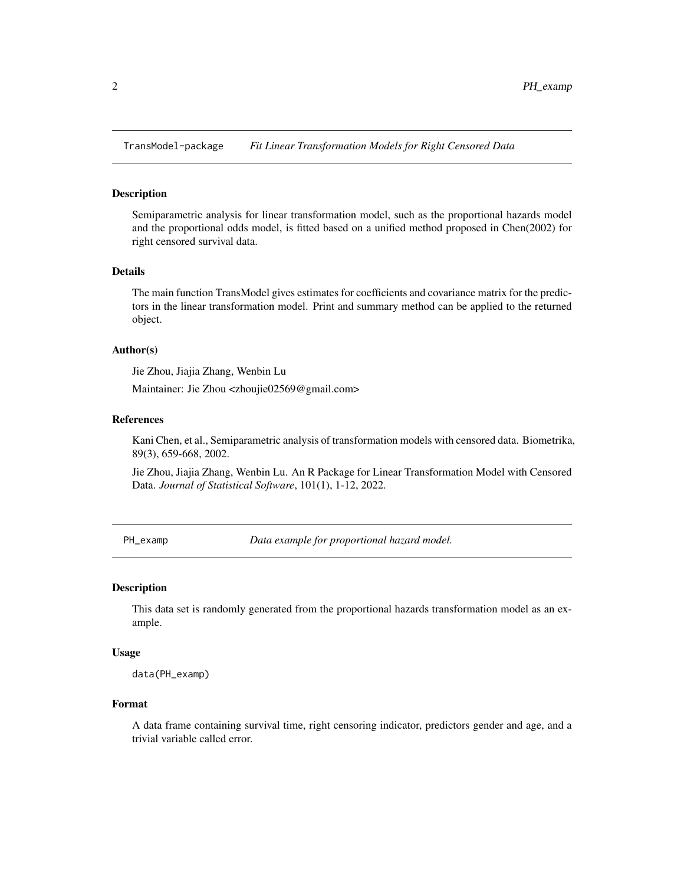<span id="page-1-0"></span>TransModel-package *Fit Linear Transformation Models for Right Censored Data*

#### Description

Semiparametric analysis for linear transformation model, such as the proportional hazards model and the proportional odds model, is fitted based on a unified method proposed in Chen(2002) for right censored survival data.

#### Details

The main function TransModel gives estimates for coefficients and covariance matrix for the predictors in the linear transformation model. Print and summary method can be applied to the returned object.

#### Author(s)

Jie Zhou, Jiajia Zhang, Wenbin Lu

Maintainer: Jie Zhou <zhoujie02569@gmail.com>

#### References

Kani Chen, et al., Semiparametric analysis of transformation models with censored data. Biometrika, 89(3), 659-668, 2002.

Jie Zhou, Jiajia Zhang, Wenbin Lu. An R Package for Linear Transformation Model with Censored Data. *Journal of Statistical Software*, 101(1), 1-12, 2022.

PH\_examp *Data example for proportional hazard model*.

#### Description

This data set is randomly generated from the proportional hazards transformation model as an example.

#### Usage

data(PH\_examp)

#### Format

A data frame containing survival time, right censoring indicator, predictors gender and age, and a trivial variable called error.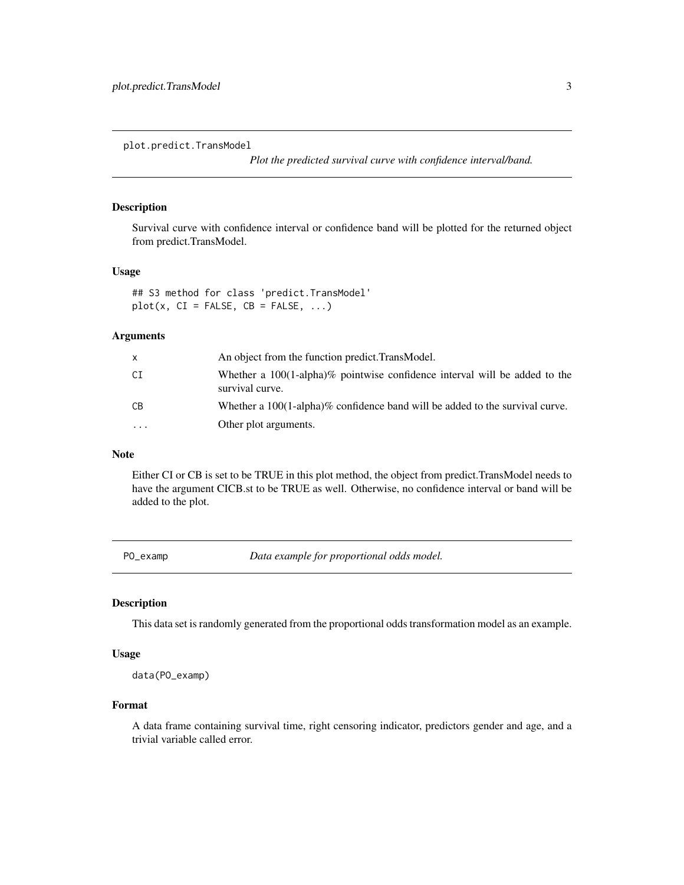<span id="page-2-0"></span>plot.predict.TransModel

*Plot the predicted survival curve with confidence interval/band.*

#### Description

Survival curve with confidence interval or confidence band will be plotted for the returned object from predict.TransModel.

#### Usage

## S3 method for class 'predict.TransModel'  $plot(x, CI = FALSE, CB = FALSE, ...)$ 

#### Arguments

|    | An object from the function predict. TransModel.                                                 |
|----|--------------------------------------------------------------------------------------------------|
| СI | Whether a $100(1-a1pha)\%$ pointwise confidence interval will be added to the<br>survival curve. |
| CВ | Whether a $100(1-aIpha)\%$ confidence band will be added to the survival curve.                  |
| .  | Other plot arguments.                                                                            |

#### Note

Either CI or CB is set to be TRUE in this plot method, the object from predict.TransModel needs to have the argument CICB.st to be TRUE as well. Otherwise, no confidence interval or band will be added to the plot.

PO\_examp *Data example for proportional odds model.*

#### Description

This data set is randomly generated from the proportional odds transformation model as an example.

#### Usage

data(PO\_examp)

#### Format

A data frame containing survival time, right censoring indicator, predictors gender and age, and a trivial variable called error.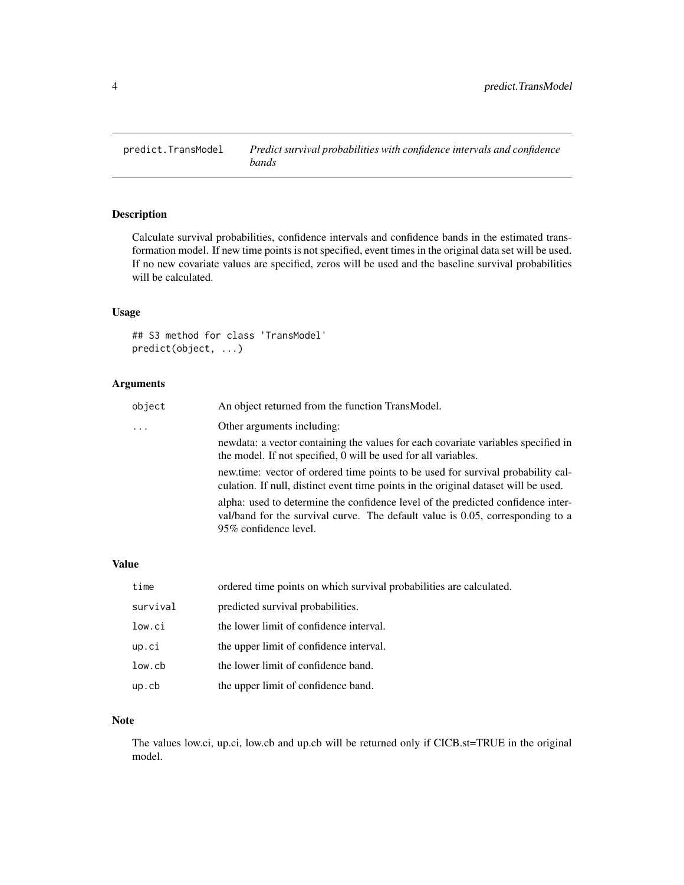<span id="page-3-0"></span>

#### Description

Calculate survival probabilities, confidence intervals and confidence bands in the estimated transformation model. If new time points is not specified, event times in the original data set will be used. If no new covariate values are specified, zeros will be used and the baseline survival probabilities will be calculated.

#### Usage

## S3 method for class 'TransModel' predict(object, ...)

#### Arguments

| object   | An object returned from the function TransModel.                                                                                                                                             |
|----------|----------------------------------------------------------------------------------------------------------------------------------------------------------------------------------------------|
| $\cdots$ | Other arguments including:                                                                                                                                                                   |
|          | newdata: a vector containing the values for each covariate variables specified in<br>the model. If not specified, 0 will be used for all variables.                                          |
|          | new.time: vector of ordered time points to be used for survival probability cal-<br>culation. If null, distinct event time points in the original dataset will be used.                      |
|          | alpha: used to determine the confidence level of the predicted confidence inter-<br>val/band for the survival curve. The default value is 0.05, corresponding to a<br>95\% confidence level. |

#### Value

| time     | ordered time points on which survival probabilities are calculated. |
|----------|---------------------------------------------------------------------|
| survival | predicted survival probabilities.                                   |
| low.ci   | the lower limit of confidence interval.                             |
| up.ci    | the upper limit of confidence interval.                             |
| low.cb   | the lower limit of confidence band.                                 |
| upcb     | the upper limit of confidence band.                                 |

#### Note

The values low.ci, up.ci, low.cb and up.cb will be returned only if CICB.st=TRUE in the original model.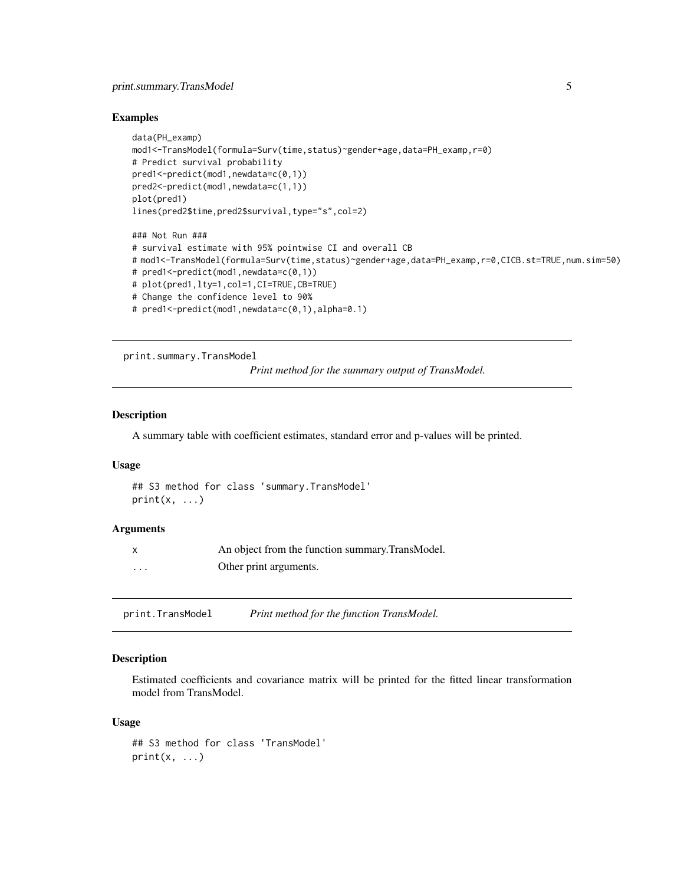#### <span id="page-4-0"></span>print.summary.TransModel 5

#### Examples

```
data(PH_examp)
mod1<-TransModel(formula=Surv(time,status)~gender+age,data=PH_examp,r=0)
# Predict survival probability
pred1<-predict(mod1,newdata=c(0,1))
pred2<-predict(mod1,newdata=c(1,1))
plot(pred1)
lines(pred2$time,pred2$survival,type="s",col=2)
### Not Run ###
# survival estimate with 95% pointwise CI and overall CB
# mod1<-TransModel(formula=Surv(time,status)~gender+age,data=PH_examp,r=0,CICB.st=TRUE,num.sim=50)
# pred1<-predict(mod1,newdata=c(0,1))
# plot(pred1,lty=1,col=1,CI=TRUE,CB=TRUE)
# Change the confidence level to 90%
# pred1<-predict(mod1,newdata=c(0,1),alpha=0.1)
```
print.summary.TransModel

*Print method for the summary output of TransModel.*

#### Description

A summary table with coefficient estimates, standard error and p-values will be printed.

#### Usage

```
## S3 method for class 'summary.TransModel'
print(x, \ldots)
```
#### Arguments

|         | An object from the function summary. TransModel. |
|---------|--------------------------------------------------|
| $\cdot$ | Other print arguments.                           |

print.TransModel *Print method for the function TransModel.*

#### Description

Estimated coefficients and covariance matrix will be printed for the fitted linear transformation model from TransModel.

#### Usage

```
## S3 method for class 'TransModel'
print(x, \ldots)
```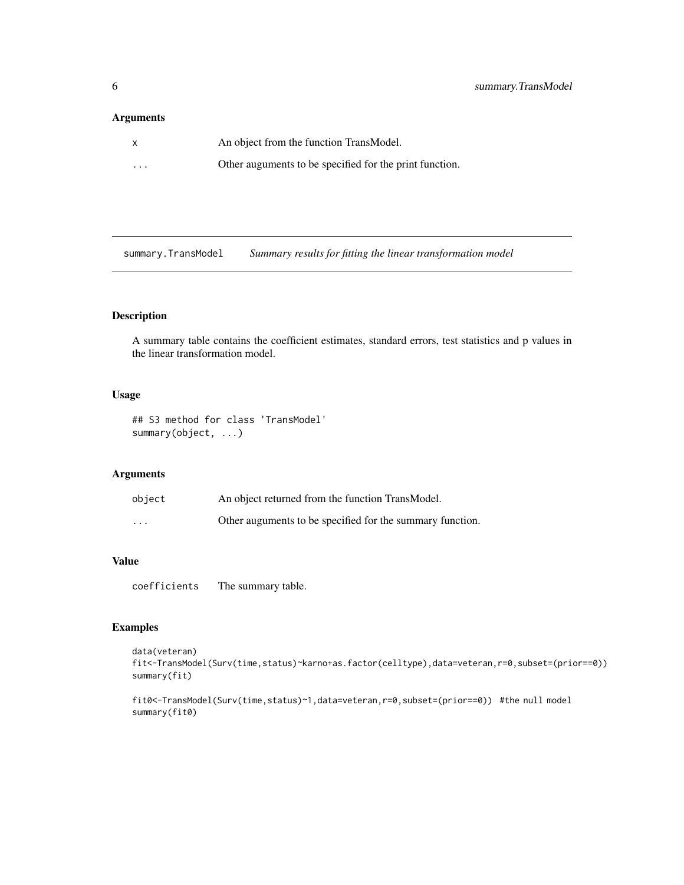#### <span id="page-5-0"></span>Arguments

| X        | An object from the function TransModel.                 |
|----------|---------------------------------------------------------|
| $\cdots$ | Other auguments to be specified for the print function. |

summary.TransModel *Summary results for fitting the linear transformation model*

#### Description

A summary table contains the coefficient estimates, standard errors, test statistics and p values in the linear transformation model.

#### Usage

## S3 method for class 'TransModel' summary(object, ...)

#### Arguments

| object   | An object returned from the function TransModel.          |
|----------|-----------------------------------------------------------|
| $\cdots$ | Other auguments to be specified for the summary function. |

#### Value

coefficients The summary table.

#### Examples

```
data(veteran)
fit<-TransModel(Surv(time,status)~karno+as.factor(celltype),data=veteran,r=0,subset=(prior==0))
summary(fit)
```

```
fit0<-TransModel(Surv(time,status)~1,data=veteran,r=0,subset=(prior==0)) #the null model
summary(fit0)
```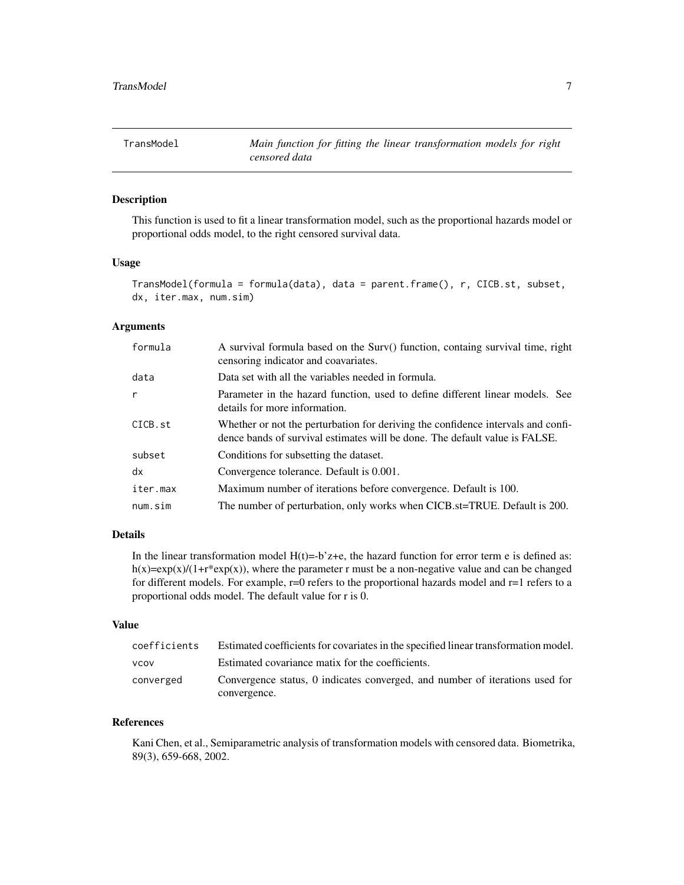<span id="page-6-0"></span>

#### Description

This function is used to fit a linear transformation model, such as the proportional hazards model or proportional odds model, to the right censored survival data.

#### Usage

```
TransModel(formula = formula(data), data = parent.frame(), r, CICB.st, subset,
dx, iter.max, num.sim)
```
#### Arguments

| formula      | A survival formula based on the Surv() function, containg survival time, right<br>censoring indicator and coavariates.                                          |
|--------------|-----------------------------------------------------------------------------------------------------------------------------------------------------------------|
| data         | Data set with all the variables needed in formula.                                                                                                              |
| $\mathsf{r}$ | Parameter in the hazard function, used to define different linear models. See<br>details for more information.                                                  |
| CICB.st      | Whether or not the perturbation for deriving the confidence intervals and confi-<br>dence bands of survival estimates will be done. The default value is FALSE. |
| subset       | Conditions for subsetting the dataset.                                                                                                                          |
| dx           | Convergence tolerance. Default is 0.001.                                                                                                                        |
| iter.max     | Maximum number of iterations before convergence. Default is 100.                                                                                                |
| num.sim      | The number of perturbation, only works when CICB.st=TRUE. Default is 200.                                                                                       |

#### Details

In the linear transformation model  $H(t)=b'z+e$ , the hazard function for error term e is defined as: h(x)=exp(x)/(1+r<sup>\*</sup>exp(x)), where the parameter r must be a non-negative value and can be changed for different models. For example, r=0 refers to the proportional hazards model and r=1 refers to a proportional odds model. The default value for r is 0.

#### Value

| coefficients | Estimated coefficients for covariates in the specified linear transformation model. |
|--------------|-------------------------------------------------------------------------------------|
| <b>VCOV</b>  | Estimated covariance matix for the coefficients.                                    |
| converged    | Convergence status, 0 indicates converged, and number of iterations used for        |
|              | convergence.                                                                        |

#### References

Kani Chen, et al., Semiparametric analysis of transformation models with censored data. Biometrika, 89(3), 659-668, 2002.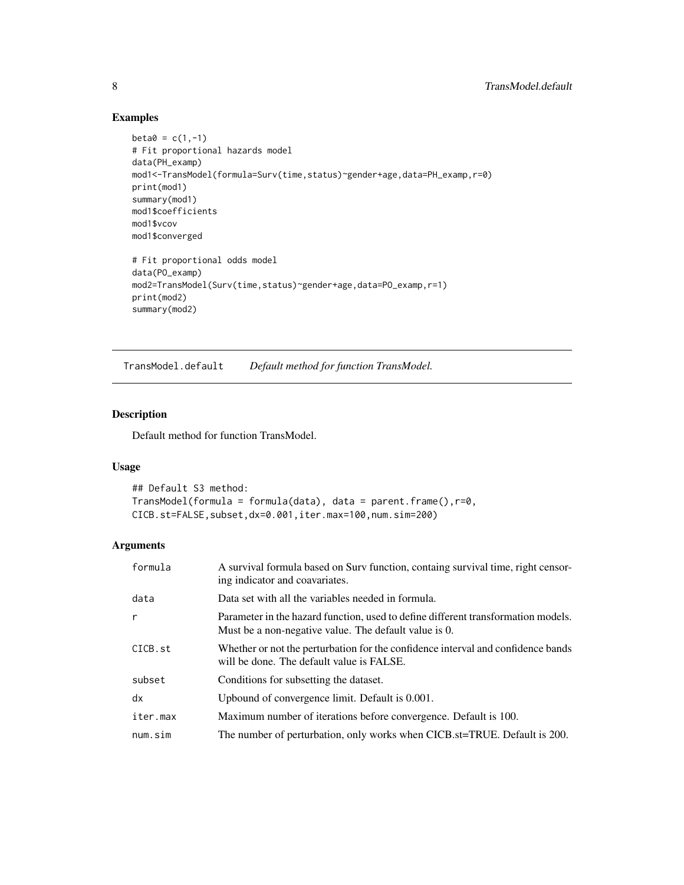#### Examples

```
beta = c(1, -1)# Fit proportional hazards model
data(PH_examp)
mod1<-TransModel(formula=Surv(time,status)~gender+age,data=PH_examp,r=0)
print(mod1)
summary(mod1)
mod1$coefficients
mod1$vcov
mod1$converged
# Fit proportional odds model
data(PO_examp)
mod2=TransModel(Surv(time,status)~gender+age,data=PO_examp,r=1)
print(mod2)
summary(mod2)
```
TransModel.default *Default method for function TransModel.*

#### Description

Default method for function TransModel.

#### Usage

```
## Default S3 method:
TransModel(formula = formula(data), data = parent.frame(),r=0,
CICB.st=FALSE,subset,dx=0.001,iter.max=100,num.sim=200)
```
#### Arguments

| formula  | A survival formula based on Surv function, containg survival time, right censor-<br>ing indicator and coavariates.                         |
|----------|--------------------------------------------------------------------------------------------------------------------------------------------|
| data     | Data set with all the variables needed in formula.                                                                                         |
| r        | Parameter in the hazard function, used to define different transformation models.<br>Must be a non-negative value. The default value is 0. |
| CICB.st  | Whether or not the perturbation for the confidence interval and confidence bands<br>will be done. The default value is FALSE.              |
| subset   | Conditions for subsetting the dataset.                                                                                                     |
| dx       | Upbound of convergence limit. Default is 0.001.                                                                                            |
| iter.max | Maximum number of iterations before convergence. Default is 100.                                                                           |
| num.sim  | The number of perturbation, only works when CICB.st=TRUE. Default is 200.                                                                  |

<span id="page-7-0"></span>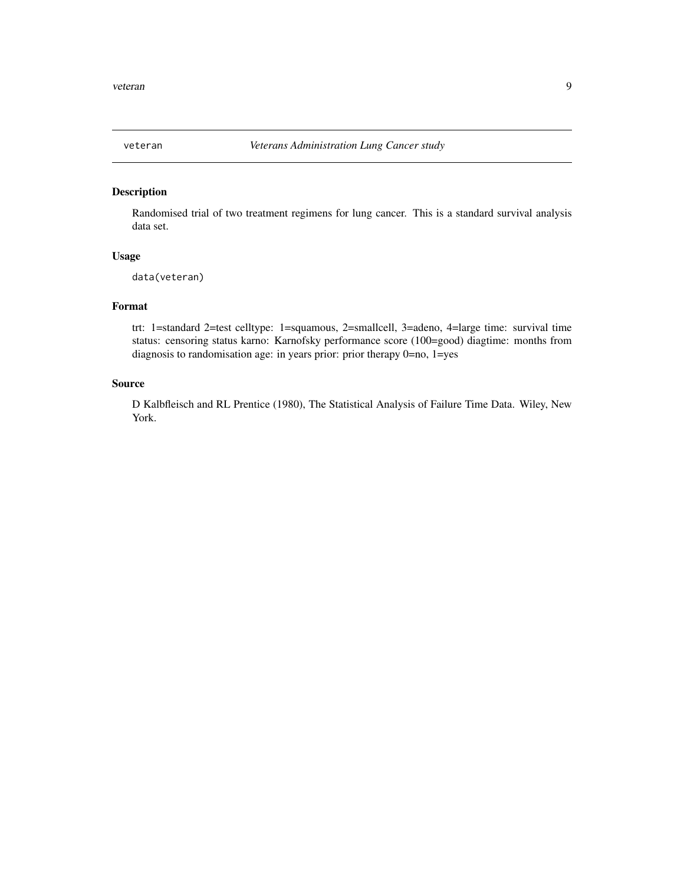<span id="page-8-0"></span>

#### Description

Randomised trial of two treatment regimens for lung cancer. This is a standard survival analysis data set.

#### Usage

data(veteran)

#### Format

trt: 1=standard 2=test celltype: 1=squamous, 2=smallcell, 3=adeno, 4=large time: survival time status: censoring status karno: Karnofsky performance score (100=good) diagtime: months from diagnosis to randomisation age: in years prior: prior therapy 0=no, 1=yes

#### Source

D Kalbfleisch and RL Prentice (1980), The Statistical Analysis of Failure Time Data. Wiley, New York.